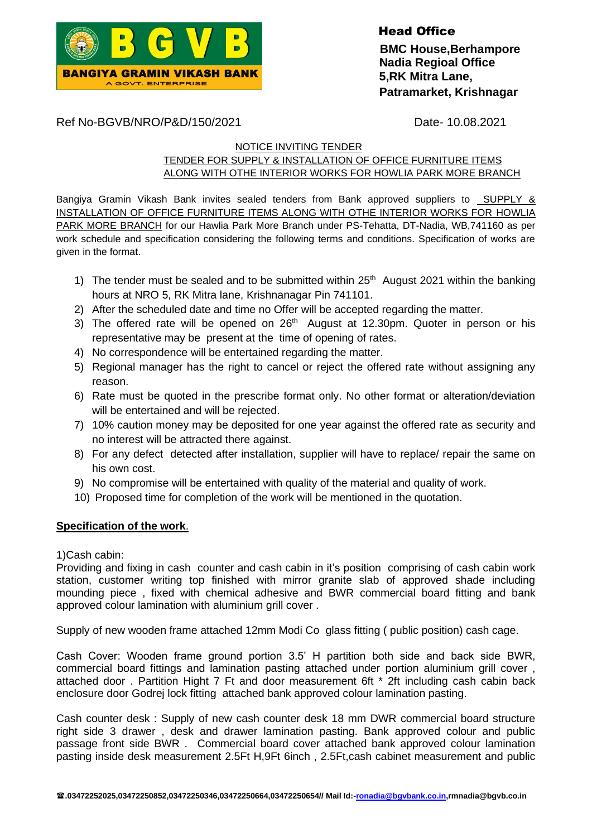

Head Office  **BMC House,Berhampore Nadia Regioal Office 5,RK Mitra Lane, Patramarket, Krishnagar**

Ref No-BGVB/NRO/P&D/150/2021 Date- 10.08.2021

## NOTICE INVITING TENDER

TENDER FOR SUPPLY & INSTALLATION OF OFFICE FURNITURE ITEMS ALONG WITH OTHE INTERIOR WORKS FOR HOWLIA PARK MORE BRANCH

Bangiya Gramin Vikash Bank invites sealed tenders from Bank approved suppliers to SUPPLY & INSTALLATION OF OFFICE FURNITURE ITEMS ALONG WITH OTHE INTERIOR WORKS FOR HOWLIA PARK MORE BRANCH for our Hawlia Park More Branch under PS-Tehatta, DT-Nadia, WB,741160 as per work schedule and specification considering the following terms and conditions. Specification of works are given in the format.

- 1) The tender must be sealed and to be submitted within  $25<sup>th</sup>$  August 2021 within the banking hours at NRO 5, RK Mitra lane, Krishnanagar Pin 741101.
- 2) After the scheduled date and time no Offer will be accepted regarding the matter.
- 3) The offered rate will be opened on  $26<sup>th</sup>$  August at 12.30pm. Quoter in person or his representative may be present at the time of opening of rates.
- 4) No correspondence will be entertained regarding the matter.
- 5) Regional manager has the right to cancel or reject the offered rate without assigning any reason.
- 6) Rate must be quoted in the prescribe format only. No other format or alteration/deviation will be entertained and will be rejected.
- 7) 10% caution money may be deposited for one year against the offered rate as security and no interest will be attracted there against.
- 8) For any defect detected after installation, supplier will have to replace/ repair the same on his own cost.
- 9) No compromise will be entertained with quality of the material and quality of work.
- 10) Proposed time for completion of the work will be mentioned in the quotation.

## **Specification of the work**.

1)Cash cabin:

Providing and fixing in cash counter and cash cabin in it's position comprising of cash cabin work station, customer writing top finished with mirror granite slab of approved shade including mounding piece , fixed with chemical adhesive and BWR commercial board fitting and bank approved colour lamination with aluminium grill cover .

Supply of new wooden frame attached 12mm Modi Co glass fitting ( public position) cash cage.

Cash Cover: Wooden frame ground portion 3.5' H partition both side and back side BWR, commercial board fittings and lamination pasting attached under portion aluminium grill cover , attached door . Partition Hight 7 Ft and door measurement 6ft \* 2ft including cash cabin back enclosure door Godrej lock fitting attached bank approved colour lamination pasting.

Cash counter desk : Supply of new cash counter desk 18 mm DWR commercial board structure right side 3 drawer , desk and drawer lamination pasting. Bank approved colour and public passage front side BWR . Commercial board cover attached bank approved colour lamination pasting inside desk measurement 2.5Ft H,9Ft 6inch , 2.5Ft,cash cabinet measurement and public